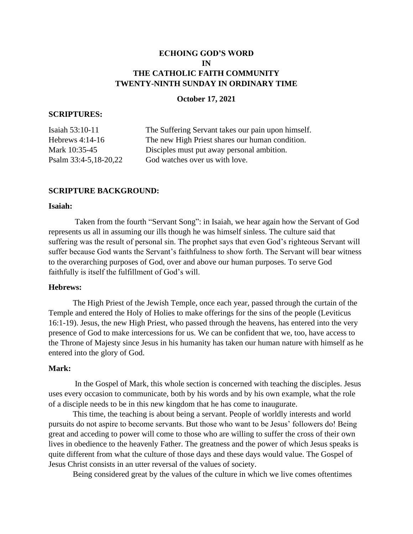# **ECHOING GOD'S WORD IN THE CATHOLIC FAITH COMMUNITY TWENTY-NINTH SUNDAY IN ORDINARY TIME**

# **October 17, 2021**

# **SCRIPTURES:**

| Isaiah 53:10-11       | The Suffering Servant takes our pain upon himself. |
|-----------------------|----------------------------------------------------|
| Hebrews $4:14-16$     | The new High Priest shares our human condition.    |
| Mark 10:35-45         | Disciples must put away personal ambition.         |
| Psalm 33:4-5,18-20,22 | God watches over us with love.                     |
|                       |                                                    |

# **SCRIPTURE BACKGROUND:**

# **Isaiah:**

Taken from the fourth "Servant Song": in Isaiah, we hear again how the Servant of God represents us all in assuming our ills though he was himself sinless. The culture said that suffering was the result of personal sin. The prophet says that even God's righteous Servant will suffer because God wants the Servant's faithfulness to show forth. The Servant will bear witness to the overarching purposes of God, over and above our human purposes. To serve God faithfully is itself the fulfillment of God's will.

#### **Hebrews:**

The High Priest of the Jewish Temple, once each year, passed through the curtain of the Temple and entered the Holy of Holies to make offerings for the sins of the people (Leviticus 16:1-19). Jesus, the new High Priest, who passed through the heavens, has entered into the very presence of God to make intercessions for us. We can be confident that we, too, have access to the Throne of Majesty since Jesus in his humanity has taken our human nature with himself as he entered into the glory of God.

# **Mark:**

In the Gospel of Mark, this whole section is concerned with teaching the disciples. Jesus uses every occasion to communicate, both by his words and by his own example, what the role of a disciple needs to be in this new kingdom that he has come to inaugurate.

This time, the teaching is about being a servant. People of worldly interests and world pursuits do not aspire to become servants. But those who want to be Jesus' followers do! Being great and acceding to power will come to those who are willing to suffer the cross of their own lives in obedience to the heavenly Father. The greatness and the power of which Jesus speaks is quite different from what the culture of those days and these days would value. The Gospel of Jesus Christ consists in an utter reversal of the values of society.

Being considered great by the values of the culture in which we live comes oftentimes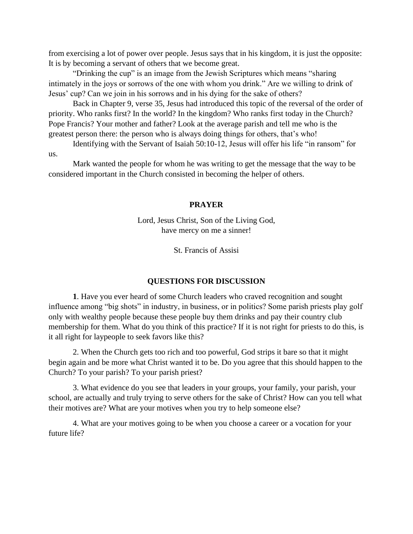from exercising a lot of power over people. Jesus says that in his kingdom, it is just the opposite: It is by becoming a servant of others that we become great.

"Drinking the cup" is an image from the Jewish Scriptures which means "sharing intimately in the joys or sorrows of the one with whom you drink." Are we willing to drink of Jesus' cup? Can we join in his sorrows and in his dying for the sake of others?

Back in Chapter 9, verse 35, Jesus had introduced this topic of the reversal of the order of priority. Who ranks first? In the world? In the kingdom? Who ranks first today in the Church? Pope Francis? Your mother and father? Look at the average parish and tell me who is the greatest person there: the person who is always doing things for others, that's who!

Identifying with the Servant of Isaiah 50:10-12, Jesus will offer his life "in ransom" for us.

Mark wanted the people for whom he was writing to get the message that the way to be considered important in the Church consisted in becoming the helper of others.

# **PRAYER**

Lord, Jesus Christ, Son of the Living God, have mercy on me a sinner!

St. Francis of Assisi

### **QUESTIONS FOR DISCUSSION**

**1**. Have you ever heard of some Church leaders who craved recognition and sought influence among "big shots" in industry, in business, or in politics? Some parish priests play golf only with wealthy people because these people buy them drinks and pay their country club membership for them. What do you think of this practice? If it is not right for priests to do this, is it all right for laypeople to seek favors like this?

2. When the Church gets too rich and too powerful, God strips it bare so that it might begin again and be more what Christ wanted it to be. Do you agree that this should happen to the Church? To your parish? To your parish priest?

3. What evidence do you see that leaders in your groups, your family, your parish, your school, are actually and truly trying to serve others for the sake of Christ? How can you tell what their motives are? What are your motives when you try to help someone else?

4. What are your motives going to be when you choose a career or a vocation for your future life?